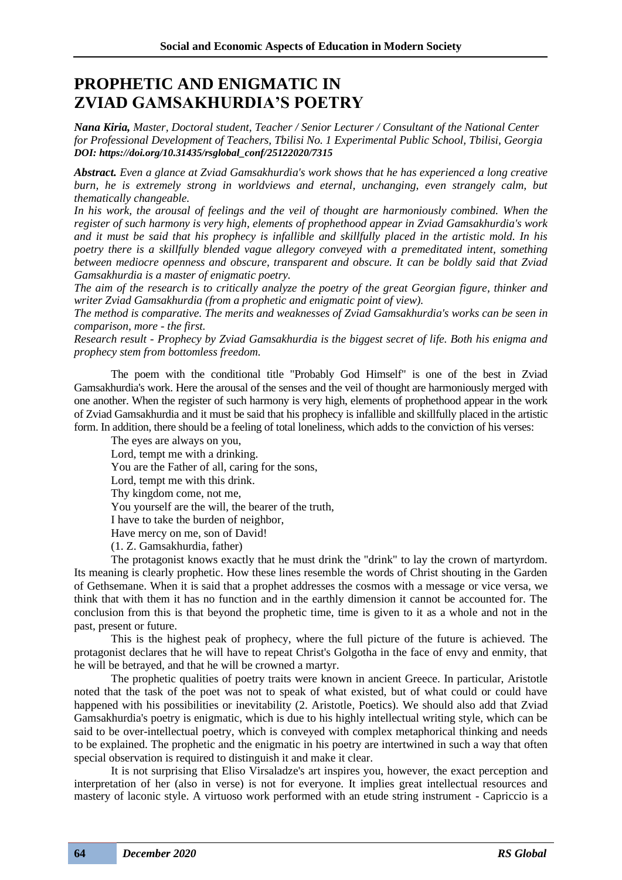## **PROPHETIC AND ENIGMATIC IN ZVIAD GAMSAKHURDIA'S POETRY**

*Nana Kiria, Master, Doctoral student, Teacher / Senior Lecturer / Consultant of the National Center for Professional Development of Teachers, Tbilisi No. 1 Experimental Public School, Tbilisi, Georgia DOI: https://doi.org/10.31435/rsglobal\_conf/25122020/7315*

*Abstract. Even a glance at Zviad Gamsakhurdia's work shows that he has experienced a long creative burn, he is extremely strong in worldviews and eternal, unchanging, even strangely calm, but thematically changeable.*

In his work, the arousal of feelings and the veil of thought are harmoniously combined. When the *register of such harmony is very high, elements of prophethood appear in Zviad Gamsakhurdia's work and it must be said that his prophecy is infallible and skillfully placed in the artistic mold. In his poetry there is a skillfully blended vague allegory conveyed with a premeditated intent, something between mediocre openness and obscure, transparent and obscure. It can be boldly said that Zviad Gamsakhurdia is a master of enigmatic poetry.*

*The aim of the research is to critically analyze the poetry of the great Georgian figure, thinker and writer Zviad Gamsakhurdia (from a prophetic and enigmatic point of view).*

*The method is comparative. The merits and weaknesses of Zviad Gamsakhurdia's works can be seen in comparison, more - the first.*

*Research result - Prophecy by Zviad Gamsakhurdia is the biggest secret of life. Both his enigma and prophecy stem from bottomless freedom.*

The poem with the conditional title "Probably God Himself" is one of the best in Zviad Gamsakhurdia's work. Here the arousal of the senses and the veil of thought are harmoniously merged with one another. When the register of such harmony is very high, elements of prophethood appear in the work of Zviad Gamsakhurdia and it must be said that his prophecy is infallible and skillfully placed in the artistic form. In addition, there should be a feeling of total loneliness, which adds to the conviction of his verses:

The eyes are always on you, Lord, tempt me with a drinking. You are the Father of all, caring for the sons, Lord, tempt me with this drink. Thy kingdom come, not me, You yourself are the will, the bearer of the truth, I have to take the burden of neighbor, Have mercy on me, son of David! (1. Z. Gamsakhurdia, father)

The protagonist knows exactly that he must drink the "drink" to lay the crown of martyrdom. Its meaning is clearly prophetic. How these lines resemble the words of Christ shouting in the Garden of Gethsemane. When it is said that a prophet addresses the cosmos with a message or vice versa, we think that with them it has no function and in the earthly dimension it cannot be accounted for. The conclusion from this is that beyond the prophetic time, time is given to it as a whole and not in the past, present or future.

This is the highest peak of prophecy, where the full picture of the future is achieved. The protagonist declares that he will have to repeat Christ's Golgotha in the face of envy and enmity, that he will be betrayed, and that he will be crowned a martyr.

The prophetic qualities of poetry traits were known in ancient Greece. In particular, Aristotle noted that the task of the poet was not to speak of what existed, but of what could or could have happened with his possibilities or inevitability (2. Aristotle, Poetics). We should also add that Zviad Gamsakhurdia's poetry is enigmatic, which is due to his highly intellectual writing style, which can be said to be over-intellectual poetry, which is conveyed with complex metaphorical thinking and needs to be explained. The prophetic and the enigmatic in his poetry are intertwined in such a way that often special observation is required to distinguish it and make it clear.

It is not surprising that Eliso Virsaladze's art inspires you, however, the exact perception and interpretation of her (also in verse) is not for everyone. It implies great intellectual resources and mastery of laconic style. A virtuoso work performed with an etude string instrument - Capriccio is a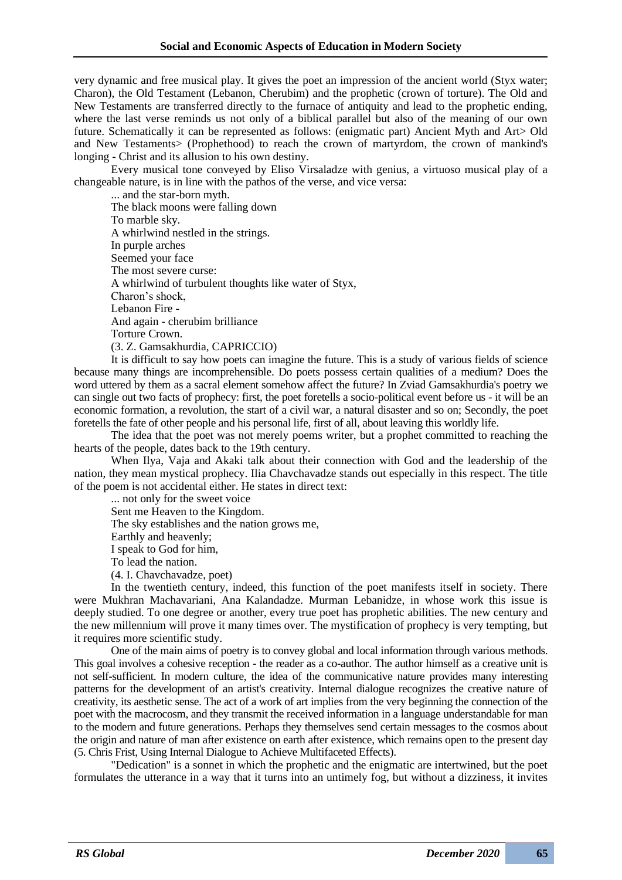very dynamic and free musical play. It gives the poet an impression of the ancient world (Styx water; Charon), the Old Testament (Lebanon, Cherubim) and the prophetic (crown of torture). The Old and New Testaments are transferred directly to the furnace of antiquity and lead to the prophetic ending, where the last verse reminds us not only of a biblical parallel but also of the meaning of our own future. Schematically it can be represented as follows: (enigmatic part) Ancient Myth and Art> Old and New Testaments> (Prophethood) to reach the crown of martyrdom, the crown of mankind's longing - Christ and its allusion to his own destiny.

Every musical tone conveyed by Eliso Virsaladze with genius, a virtuoso musical play of a changeable nature, is in line with the pathos of the verse, and vice versa:

... and the star-born myth. The black moons were falling down To marble sky. A whirlwind nestled in the strings. In purple arches Seemed your face The most severe curse: A whirlwind of turbulent thoughts like water of Styx, Charon's shock, Lebanon Fire - And again - cherubim brilliance Torture Crown. (3. Z. Gamsakhurdia, CAPRICCIO)

It is difficult to say how poets can imagine the future. This is a study of various fields of science because many things are incomprehensible. Do poets possess certain qualities of a medium? Does the word uttered by them as a sacral element somehow affect the future? In Zviad Gamsakhurdia's poetry we can single out two facts of prophecy: first, the poet foretells a socio-political event before us - it will be an economic formation, a revolution, the start of a civil war, a natural disaster and so on; Secondly, the poet foretells the fate of other people and his personal life, first of all, about leaving this worldly life.

The idea that the poet was not merely poems writer, but a prophet committed to reaching the hearts of the people, dates back to the 19th century.

When Ilya, Vaja and Akaki talk about their connection with God and the leadership of the nation, they mean mystical prophecy. Ilia Chavchavadze stands out especially in this respect. The title of the poem is not accidental either. He states in direct text:

... not only for the sweet voice Sent me Heaven to the Kingdom. The sky establishes and the nation grows me, Earthly and heavenly; I speak to God for him, To lead the nation. (4. I. Chavchavadze, poet)

In the twentieth century, indeed, this function of the poet manifests itself in society. There were Mukhran Machavariani, Ana Kalandadze. Murman Lebanidze, in whose work this issue is deeply studied. To one degree or another, every true poet has prophetic abilities. The new century and the new millennium will prove it many times over. The mystification of prophecy is very tempting, but it requires more scientific study.

One of the main aims of poetry is to convey global and local information through various methods. This goal involves a cohesive reception - the reader as a co-author. The author himself as a creative unit is not self-sufficient. In modern culture, the idea of the communicative nature provides many interesting patterns for the development of an artist's creativity. Internal dialogue recognizes the creative nature of creativity, its aesthetic sense. The act of a work of art implies from the very beginning the connection of the poet with the macrocosm, and they transmit the received information in a language understandable for man to the modern and future generations. Perhaps they themselves send certain messages to the cosmos about the origin and nature of man after existence on earth after existence, which remains open to the present day (5. Chris Frist, Using Internal Dialogue to Achieve Multifaceted Effects).

"Dedication" is a sonnet in which the prophetic and the enigmatic are intertwined, but the poet formulates the utterance in a way that it turns into an untimely fog, but without a dizziness, it invites